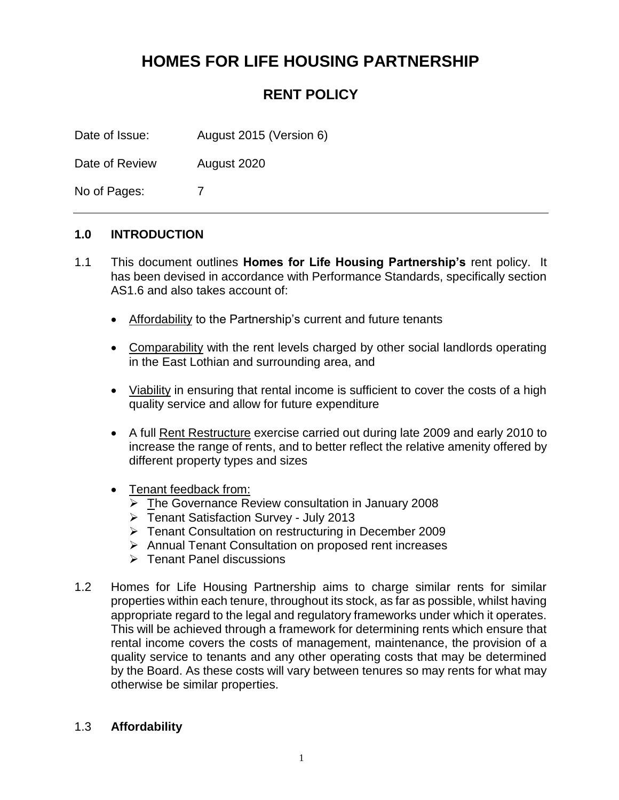# **HOMES FOR LIFE HOUSING PARTNERSHIP**

# **RENT POLICY**

Date of Issue: August 2015 (Version 6)

Date of Review August 2020

No of Pages: 7

#### **1.0 INTRODUCTION**

- 1.1 This document outlines **Homes for Life Housing Partnership's** rent policy. It has been devised in accordance with Performance Standards, specifically section AS1.6 and also takes account of:
	- Affordability to the Partnership's current and future tenants
	- Comparability with the rent levels charged by other social landlords operating in the East Lothian and surrounding area, and
	- Viability in ensuring that rental income is sufficient to cover the costs of a high quality service and allow for future expenditure
	- A full **Rent Restructure** exercise carried out during late 2009 and early 2010 to increase the range of rents, and to better reflect the relative amenity offered by different property types and sizes
	- Tenant feedback from:
		- ➢ The Governance Review consultation in January 2008
		- ➢ Tenant Satisfaction Survey July 2013
		- ➢ Tenant Consultation on restructuring in December 2009
		- ➢ Annual Tenant Consultation on proposed rent increases
		- ➢ Tenant Panel discussions
- 1.2 Homes for Life Housing Partnership aims to charge similar rents for similar properties within each tenure, throughout its stock, as far as possible, whilst having appropriate regard to the legal and regulatory frameworks under which it operates. This will be achieved through a framework for determining rents which ensure that rental income covers the costs of management, maintenance, the provision of a quality service to tenants and any other operating costs that may be determined by the Board. As these costs will vary between tenures so may rents for what may otherwise be similar properties.

#### 1.3 **Affordability**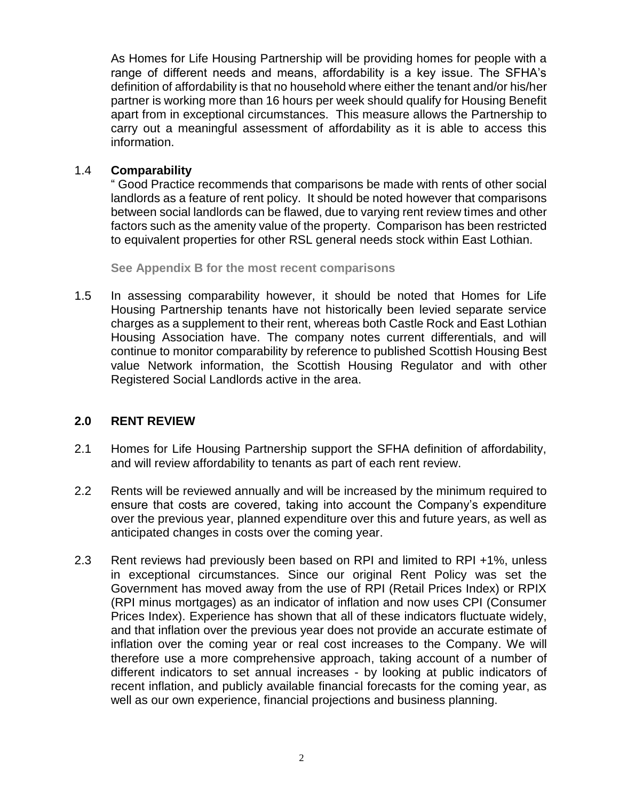As Homes for Life Housing Partnership will be providing homes for people with a range of different needs and means, affordability is a key issue. The SFHA's definition of affordability is that no household where either the tenant and/or his/her partner is working more than 16 hours per week should qualify for Housing Benefit apart from in exceptional circumstances. This measure allows the Partnership to carry out a meaningful assessment of affordability as it is able to access this information.

#### 1.4 **Comparability**

" Good Practice recommends that comparisons be made with rents of other social landlords as a feature of rent policy.It should be noted however that comparisons between social landlords can be flawed, due to varying rent review times and other factors such as the amenity value of the property. Comparison has been restricted to equivalent properties for other RSL general needs stock within East Lothian.

**See Appendix B for the most recent comparisons**

1.5 In assessing comparability however, it should be noted that Homes for Life Housing Partnership tenants have not historically been levied separate service charges as a supplement to their rent, whereas both Castle Rock and East Lothian Housing Association have. The company notes current differentials, and will continue to monitor comparability by reference to published Scottish Housing Best value Network information, the Scottish Housing Regulator and with other Registered Social Landlords active in the area.

#### **2.0 RENT REVIEW**

- 2.1 Homes for Life Housing Partnership support the SFHA definition of affordability, and will review affordability to tenants as part of each rent review.
- 2.2 Rents will be reviewed annually and will be increased by the minimum required to ensure that costs are covered, taking into account the Company's expenditure over the previous year, planned expenditure over this and future years, as well as anticipated changes in costs over the coming year.
- 2.3 Rent reviews had previously been based on RPI and limited to RPI +1%, unless in exceptional circumstances. Since our original Rent Policy was set the Government has moved away from the use of RPI (Retail Prices Index) or RPIX (RPI minus mortgages) as an indicator of inflation and now uses CPI (Consumer Prices Index). Experience has shown that all of these indicators fluctuate widely, and that inflation over the previous year does not provide an accurate estimate of inflation over the coming year or real cost increases to the Company. We will therefore use a more comprehensive approach, taking account of a number of different indicators to set annual increases - by looking at public indicators of recent inflation, and publicly available financial forecasts for the coming year, as well as our own experience, financial projections and business planning.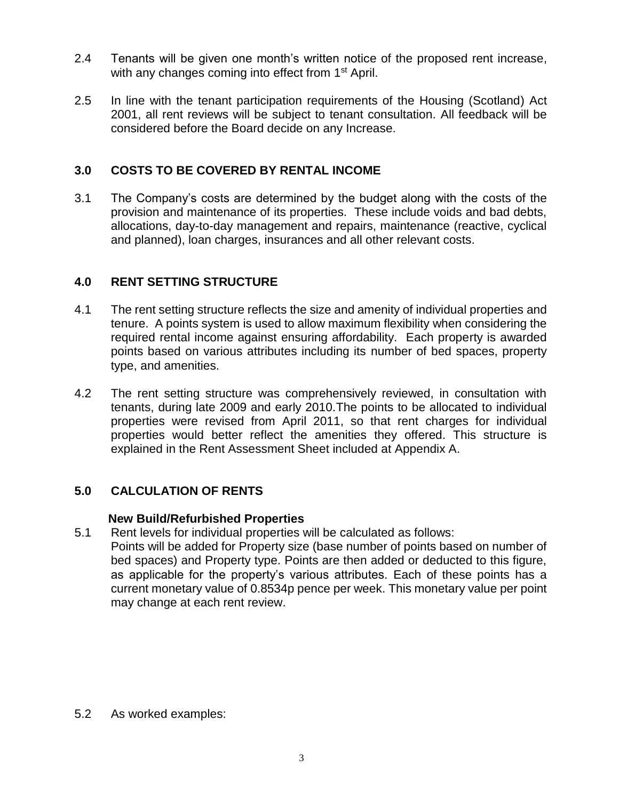- 2.4 Tenants will be given one month's written notice of the proposed rent increase, with any changes coming into effect from 1<sup>st</sup> April.
- 2.5 In line with the tenant participation requirements of the Housing (Scotland) Act 2001, all rent reviews will be subject to tenant consultation. All feedback will be considered before the Board decide on any Increase.

### **3.0 COSTS TO BE COVERED BY RENTAL INCOME**

3.1 The Company's costs are determined by the budget along with the costs of the provision and maintenance of its properties. These include voids and bad debts, allocations, day-to-day management and repairs, maintenance (reactive, cyclical and planned), loan charges, insurances and all other relevant costs.

## **4.0 RENT SETTING STRUCTURE**

- 4.1 The rent setting structure reflects the size and amenity of individual properties and tenure. A points system is used to allow maximum flexibility when considering the required rental income against ensuring affordability. Each property is awarded points based on various attributes including its number of bed spaces, property type, and amenities.
- 4.2 The rent setting structure was comprehensively reviewed, in consultation with tenants, during late 2009 and early 2010.The points to be allocated to individual properties were revised from April 2011, so that rent charges for individual properties would better reflect the amenities they offered. This structure is explained in the Rent Assessment Sheet included at Appendix A.

## **5.0 CALCULATION OF RENTS**

#### **New Build/Refurbished Properties**

- 5.1 Rent levels for individual properties will be calculated as follows:
- Points will be added for Property size (base number of points based on number of bed spaces) and Property type. Points are then added or deducted to this figure, as applicable for the property's various attributes. Each of these points has a current monetary value of 0.8534p pence per week. This monetary value per point may change at each rent review.

5.2 As worked examples: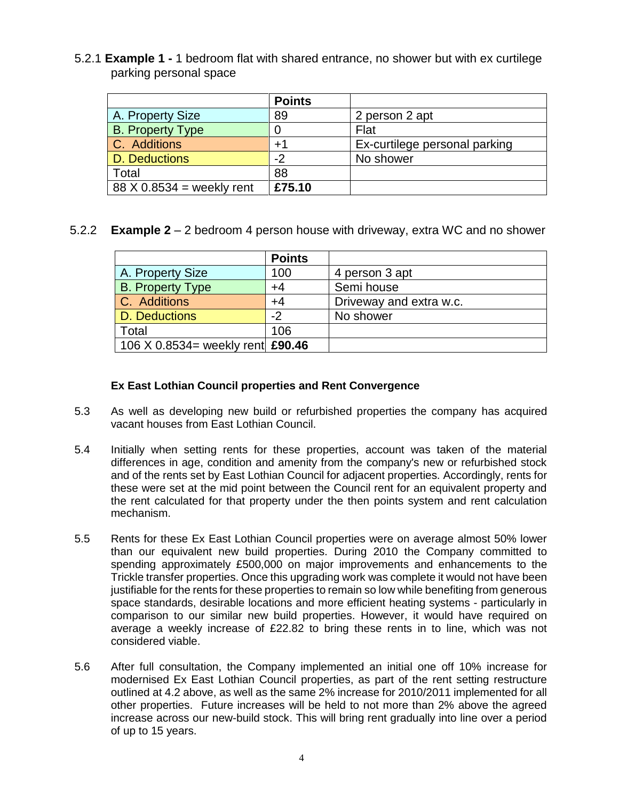5.2.1 **Example 1 -** 1 bedroom flat with shared entrance, no shower but with ex curtilege parking personal space

|                             | <b>Points</b> |                               |
|-----------------------------|---------------|-------------------------------|
| A. Property Size            | 89            | 2 person 2 apt                |
| <b>B. Property Type</b>     |               | Flat                          |
| C. Additions                | +1            | Ex-curtilege personal parking |
| D. Deductions               | -2            | No shower                     |
| Total                       | 88            |                               |
| $88 X 0.8534$ = weekly rent | £75.10        |                               |

#### 5.2.2 **Example 2** – 2 bedroom 4 person house with driveway, extra WC and no shower

|                                  | <b>Points</b> |                         |
|----------------------------------|---------------|-------------------------|
| A. Property Size                 | 100           | 4 person 3 apt          |
| <b>B.</b> Property Type          | $+4$          | Semi house              |
| C. Additions                     | +4            | Driveway and extra w.c. |
| D. Deductions                    | -2            | No shower               |
| Total                            | 106           |                         |
| 106 X 0.8534= weekly rent £90.46 |               |                         |

#### **Ex East Lothian Council properties and Rent Convergence**

- 5.3 As well as developing new build or refurbished properties the company has acquired vacant houses from East Lothian Council.
- 5.4 Initially when setting rents for these properties, account was taken of the material differences in age, condition and amenity from the company's new or refurbished stock and of the rents set by East Lothian Council for adjacent properties. Accordingly, rents for these were set at the mid point between the Council rent for an equivalent property and the rent calculated for that property under the then points system and rent calculation mechanism.
- 5.5 Rents for these Ex East Lothian Council properties were on average almost 50% lower than our equivalent new build properties. During 2010 the Company committed to spending approximately £500,000 on major improvements and enhancements to the Trickle transfer properties. Once this upgrading work was complete it would not have been justifiable for the rents for these properties to remain so low while benefiting from generous space standards, desirable locations and more efficient heating systems - particularly in comparison to our similar new build properties. However, it would have required on average a weekly increase of £22.82 to bring these rents in to line, which was not considered viable.
- 5.6 After full consultation, the Company implemented an initial one off 10% increase for modernised Ex East Lothian Council properties, as part of the rent setting restructure outlined at 4.2 above, as well as the same 2% increase for 2010/2011 implemented for all other properties. Future increases will be held to not more than 2% above the agreed increase across our new-build stock. This will bring rent gradually into line over a period of up to 15 years.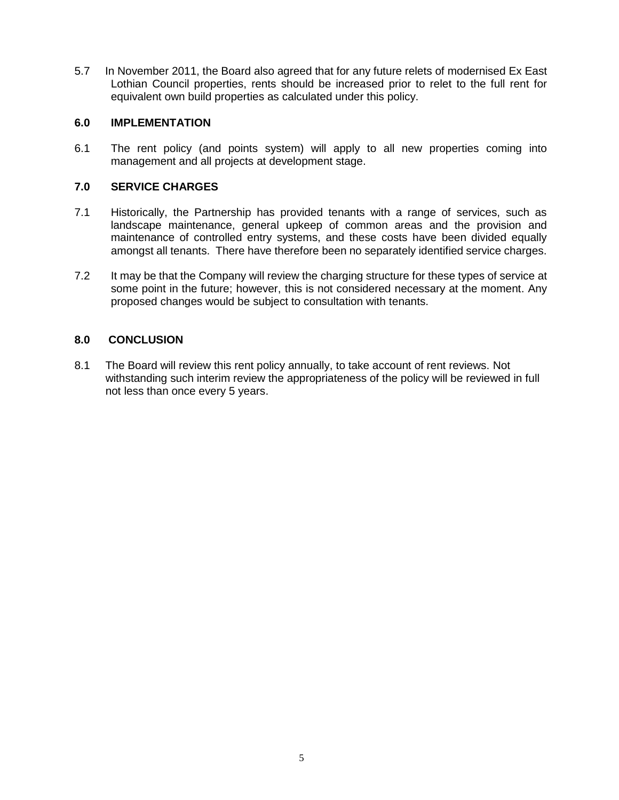5.7 In November 2011, the Board also agreed that for any future relets of modernised Ex East Lothian Council properties, rents should be increased prior to relet to the full rent for equivalent own build properties as calculated under this policy.

#### **6.0 IMPLEMENTATION**

6.1 The rent policy (and points system) will apply to all new properties coming into management and all projects at development stage.

#### **7.0 SERVICE CHARGES**

- 7.1 Historically, the Partnership has provided tenants with a range of services, such as landscape maintenance, general upkeep of common areas and the provision and maintenance of controlled entry systems, and these costs have been divided equally amongst all tenants. There have therefore been no separately identified service charges.
- 7.2 It may be that the Company will review the charging structure for these types of service at some point in the future; however, this is not considered necessary at the moment. Any proposed changes would be subject to consultation with tenants.

#### **8.0 CONCLUSION**

8.1 The Board will review this rent policy annually, to take account of rent reviews. Not withstanding such interim review the appropriateness of the policy will be reviewed in full not less than once every 5 years.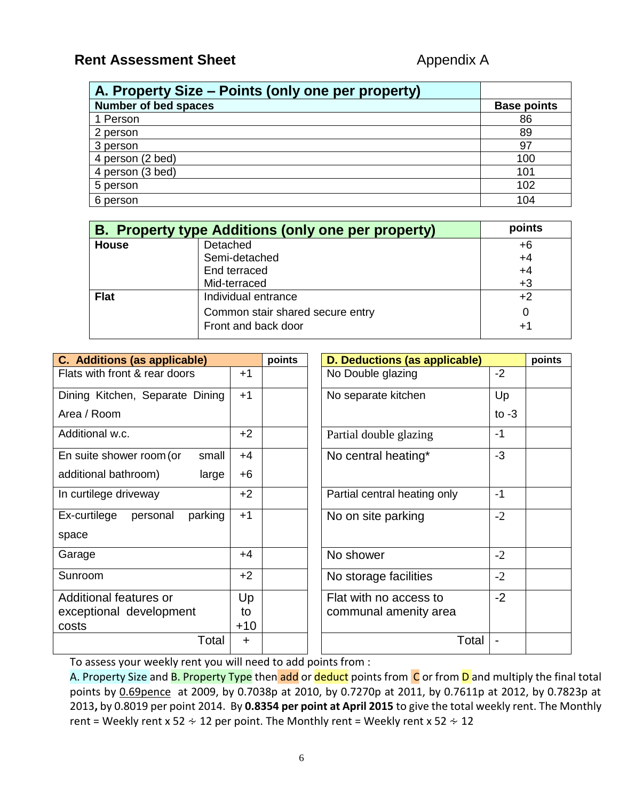## **Rent Assessment Sheet Appendix A**

| A. Property Size – Points (only one per property) |                    |
|---------------------------------------------------|--------------------|
| <b>Number of bed spaces</b>                       | <b>Base points</b> |
| 1 Person                                          | 86                 |
| 2 person                                          | 89                 |
| 3 person                                          | 97                 |
| 4 person (2 bed)                                  | 100                |
| 4 person (3 bed)                                  | 101                |
| 5 person                                          | 102                |
| 6 person                                          | 104                |

| <b>B.</b> Property type Additions (only one per property) | points                           |      |
|-----------------------------------------------------------|----------------------------------|------|
| <b>House</b>                                              | Detached                         | $+6$ |
|                                                           | Semi-detached                    | $+4$ |
|                                                           | End terraced                     | $+4$ |
|                                                           | Mid-terraced                     | $+3$ |
| <b>Flat</b>                                               | Individual entrance              | $+2$ |
|                                                           | Common stair shared secure entry | 0    |
|                                                           | Front and back door              | +1   |

| <b>C.</b> Additions (as applicable)     |           | points | <b>D. Deductions (as applicable)</b> |         | points |
|-----------------------------------------|-----------|--------|--------------------------------------|---------|--------|
| Flats with front & rear doors           | $+1$      |        | No Double glazing                    | $-2$    |        |
| $+1$<br>Dining Kitchen, Separate Dining |           |        | No separate kitchen                  | Up      |        |
| Area / Room                             |           |        |                                      | to $-3$ |        |
| Additional w.c.                         | $+2$      |        | Partial double glazing               | $-1$    |        |
| small<br>En suite shower room (or       | $+4$      |        | No central heating*                  | $-3$    |        |
| additional bathroom)<br>large           | $+6$      |        |                                      |         |        |
| In curtilege driveway                   | $+2$      |        | Partial central heating only         | -1      |        |
| parking<br>Ex-curtilege<br>personal     | $+1$      |        | No on site parking                   | $-2$    |        |
| space                                   |           |        |                                      |         |        |
| Garage                                  | $+4$      |        | No shower                            | $-2$    |        |
| Sunroom                                 | $+2$      |        | No storage facilities                | $-2$    |        |
| Additional features or                  | Up        |        | Flat with no access to               | $-2$    |        |
| exceptional development<br>to           |           |        | communal amenity area                |         |        |
| costs                                   | $+10$     |        |                                      |         |        |
| Total                                   | $\ddot{}$ |        | Total                                |         |        |

To assess your weekly rent you will need to add points from :

A. Property Size and **B. Property Type** then add or deduct points from C or from D and multiply the final total points by 0.69pence at 2009, by 0.7038p at 2010, by 0.7270p at 2011, by 0.7611p at 2012, by 0.7823p at 2013**,** by 0.8019 per point 2014. By **0.8354 per point at April 2015** to give the total weekly rent. The Monthly rent = Weekly rent x 52  $\div$  12 per point. The Monthly rent = Weekly rent x 52  $\div$  12